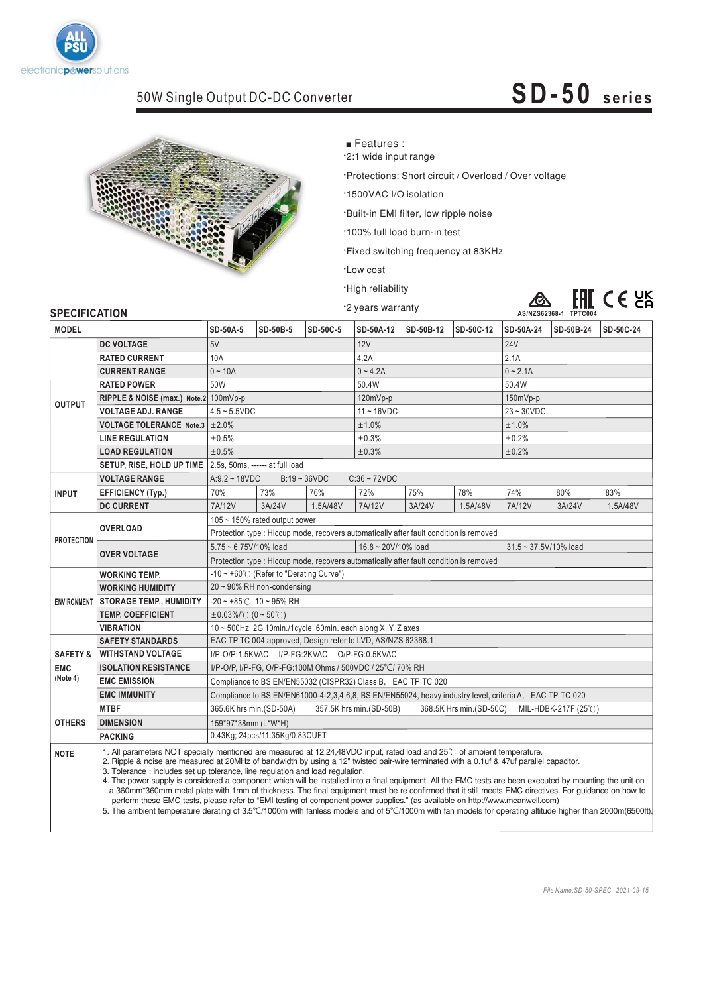

### 50W Single Output DC-DC Converter

## $SD-50$  series **SD-50 series**



■ Features :

.2:1 wide input range

\*Protections: Short circuit / Overload / Over voltage

\*1500VAC I/O isolation

'Built-in EMI filter, low ripple noise

·100% full load burn-in test

·Fixed switching frequency at 83KHz

·Low cost

·High reliability ·2 years warranty



### **SPECIFICATION**  $\overline{SD}$ -50A-24 SD-50B-24 **MODEL SD-50A-5 SD-50B-5 SD-50C-5 SD-50A-12 SD-50B-12 SD-50C-12 SD-50A-24 SD-50B-24 SD-50C-24 DC VOLTAGE**  $12$ V  $\vert$   $24$ V  $\vert$   $24$ V  $\vert$   $24$ V  $\vert$   $24$ V  $\vert$   $24$ V  $\vert$   $24$ V  $\vert$   $24$ V  $\vert$   $24$ V  $\vert$   $24$ V  $\vert$   $24$ V  $\vert$   $24$ V  $\vert$   $24$ V  $\vert$   $24$ V  $\vert$   $24$ V  $\vert$   $24$ V  $\vert$   $24$ V  $\vert$   $24$ V  $\vert$   $24$ V  $\vert$   $24$ V  $\vert$  10A 2.1A **CURRENT RANGE** 0 ~ 10A  $0 \sim 4.2$ A  $\sim$  10A  $\sim$  2.1A **RATED POWER** 50W 50.4W 50.4W **RIPPLE & NOISE (max.) Note.2** 100mVp-p 120mVp-p 150mVp-p **OUTPUT VOLTAGE ADJ, RANGE** 4.5 ~ 5.5VDC 11 ~ 16VDC 23 ~ 30VDC **VOLTAGE TOLERANCE Note.3**  $\pm 2.0\%$   $\pm 1.0\%$ **LINE REGULATION**  $±0.5%$  $±0.3%$  $±0.2%$  $±0.2%$ **LOAD REGULATION**  $±0.5%$  $±0.3%$ **SETUP, RISE, HOLD UP TIME** 2.5s, 50ms, ------ at full load A:9.2 ~ 18VDC B:19 ~ 36VDC C:36 ~ 72VDC **VOLTAGE RANGE** 70% 73% 76% 72% **EFFICIENCY (Typ.)** 75% 78% 74% 80% 83% **EXAMPLE AND COUPPENT** 7A/12V 3A/24V 1.5A/48V 7A/12V 3A/24V 1.5A/48V 7A/12V 3A/24V 1.5A/48V **DE CURRENT**<br> **DE CURRENT**<br> **DE CURRENT** 105 ~ 150% rated output power **OVERLOAD** Protection type : Hiccup mode, recovers automatically after fault condition is removed **OVERLOAD PROTECTION** 5.75 ~ 6.75V/10% load 16.8 ~ 20V/10% load 31.5 ~ 37.5V/10% load Protection type : Hiccup mode, recovers automatically after fault condition is removed  $-10 \sim +60^{\circ}$  (Refer to "Derating Curve") **WORKING TEMP.** 20 ~ 90% RH non-condensing  $-20$  ~ +85°C, 10 ~ 95% RH **STORAGE TEMP., HUMIDITY** ENVIRONMENT **TEMP. COEFFICIENT**  $±0.03\%/^{\circ}C$  (0 ~ 50 °C) **VIBRATION** 10 ~ 500Hz, 2G 10min./1cycle, 60min. each along X, Y, Z axes **SAFETY STANDARDS** EAC TP TC 004 approved, Design refer to LVD, AS/NZS 62368.1 **WITHSTAND VOLTAGE** I/P-O/P:1.5KVAC I/P-FG:2KVAC O/P-FG:0.5KVAC SAFFTY & **ISOLATION RESISTANCE** I/P-O/P, I/P-FG, O/P-FG:100M Ohms / 500VDC / 25°C/ 70% RH **EMC EMC (Note 4) EMC EMISSION** Compliance to BS EN/EN55032 (CISPR32) Class B. EAC TP TC 020 **EMC EMISSION** Compliance to BS EN/EN61000-4-2,3,4,6,8, BS EN/EN55024, heavy industry level, criteria A, EAC TP TC 020 **EMC IMMUNITY** 365.6K hrs min.(SD-50A) 357.5K hrs min.(SD-50B) 368.5K Hrs min.(SD-50C) MIL-HDBK-217F (25 ℃) **OTHERS DIMENSION** 159\*97\*38mm (L\*W\*H) 0.43Kg; 24pcs/11 35Kg/0.83CUFT . **PACKING**

**PACKING** 34 
 56 ,4 4  
-&-7&7-8 
&
 - %4( 4 
 3 ℃ **NOTE** 

2. Ripple & noise are measured at 20MHz of bandwidth by using a 12" twisted pair-wire terminated with a 0.1uf & 47uf parallel capacitor. 3. Tolerance: includes set up tolerance, line regulation and load regulation.

4. The power supply is considered a component which will be installed into a final equipment. All the EMC tests are been executed by mounting the unit on a 360mm\*360mm metal plate with 1mm of thickness. The final equipment must be re-confirmed that it still meets EMC directives. For guidance on how to perform these EMC tests, please refer to "EMI testing of component power supplies." (as available on http://www.meanwell.com)

5. The ambient temperature derating of 3.5°C/1000m with fanless models and of 5°C/1000m with fan models for operating altitude higher than 2000m(6500ft).